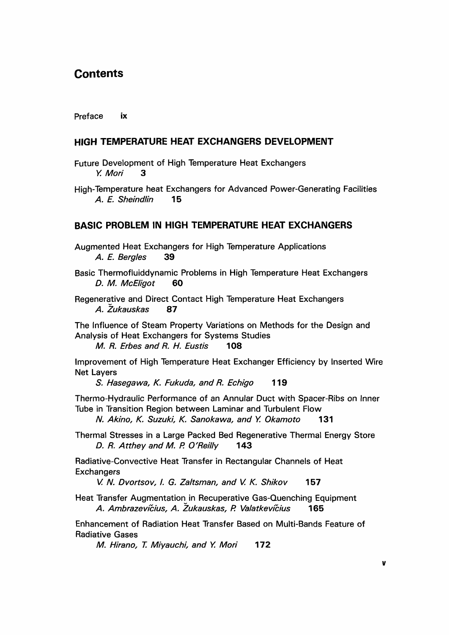# **Contents**

#### Preface ix

## HIGH TEMPERATURE HEAT EXCHANGERS DEVELOPMENT

- Future Development of High Temperature Heat Exchangers<br>
Y. Mori 3 Y. Mori 3
- High-Temperature heat Exchangers for Advanced Power-Generating Facilities A. E. Sheindlin 15

## BASIC PROBLEM IN HIGH TEMPERATURE HEAT EXCHANGERS

- Augmented Heat Exchangers for High Temperature Applications A. E. Bergles 39
- Basic Thermofluiddynamic Problems in High Temperature Heat Exchangers D. M. McEligot 60
- Regenerative and Direct Contact High Temperature Heat Exchangers A. Zukauskas 87

The Influence of Steam Property Variations on Methods for the Design and Analysis of Heat Exchangers for Systems Studies M. R. Erbes and R. H. Eustis 108

Improvement of High Temperature Heat Exchanger Efficiency by Inserted Wire Net Layers

S. Hasegawa, K. Fukuda, and R. Echigo 119

Thermo-Hydraulic Performance of an Annular Duct with Spacer-Ribs on Inner Tube in Transition Region between Laminar and Turbulent Flow

N. Akino, K. Suzuki, K. Sanokawa, and Y. Okamoto 131

Thermal Stresses in a Large Packed Bed Regenerative Thermal Energy Store D. R. Atthey and M. P. O'Reilly 143

Radiative-Convective Heat Transfer in Rectangular Channels of Heat **Exchangers** 

V. N. Dvortsov, I. G. Zaltsman, and V. K. Shikov 157

Heat Transfer Augmentation in Recuperative Gas-Quenching Equipment A. Ambrazevicius, A. Zukauskas, A Valatkevicius 165

Enhancement of Radiation Heat Transfer Based on Multi-Bands Feature of Radiative Gases

M. Hirano, T. Miyauchi, and Y. Mori 172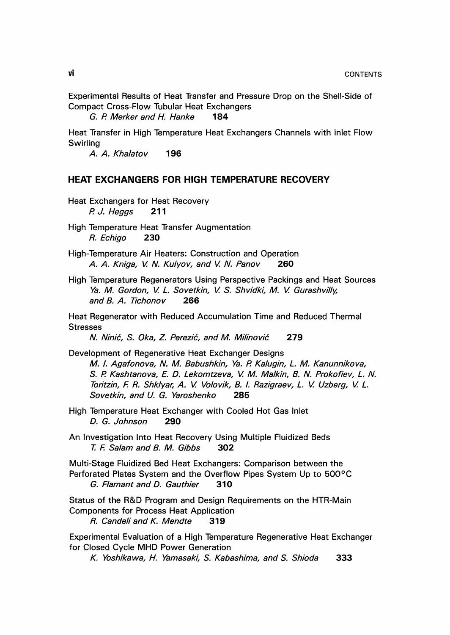Experimental Results of Heat Transfer and Pressure Drop on the Shell-Side of Compact Cross-Flow Tubular Heat Exchangers

G. P. Merker and H. Hanke 184

Heat Transfer in High Temperature Heat Exchangers Channels with Inlet Flow Swirling

A. A. Khalatov 196

## HEAT EXCHANGERS FOR HIGH TEMPERATURE RECOVERY

- Heat Exchangers for Heat Recovery P. J. Heggs 211
- High Temperature Heat Transfer Augmentation R. Echigo 230
- High-Temperature Air Heaters: Construction and Operation A. A. Kniga, V. N. Kulyov, and V. N. Panov 260
- High Temperature Regenerators Using Perspective Packings and Heat Sources Ya. M. Gordon, V. L. Sovetkin, V. S. Shvidki, M. V. Gurashvilly, and B. A. Tichonov 266

Heat Regenerator with Reduced Accumulation Time and Reduced Thermal **Stresses** 

N. Ninić, S. Oka, Z. Perezić, and M. Milinović 279

Development of Regenerative Heat Exchanger Designs M. I. Agafonova, N. M. Babushkin, Ya. P. Kalugin, L. M. Kanunnikova, S. P. Kashtanova, E. D. Lekomtzeva, V. M. Malkin, B. N. Prokofiev, L. N. Toritzin, F. R. Shklyar, A. V. Volovik, B. I. Razigraev, L. V. Uzberg, V. L. Sovetkin, and U. G. Yaroshenko 285

High Temperature Heat Exchanger with Cooled Hot Gas Inlet D. G. Johnson 290

An Investigation Into Heat Recovery Using Multiple Fluidized Beds T. F. Salam and B. M. Gibbs 302

Multi-Stage Fluidized Bed Heat Exchangers: Comparison between the Perforated Plates System and the Overflow Pipes System Up to 500°C G. Flamant and D. Gauthier 310

Status of the R&D Program and Design Requirements on the HTR-Main Components for Process Heat Application

R. Candeli and K. Mendte 319

Experimental Evaluation of a High Temperature Regenerative Heat Exchanger for Closed Cycle MHD Power Generation

K. Yoshikawa, H. Yamasaki, S. Kabashima, and S. Shioda 333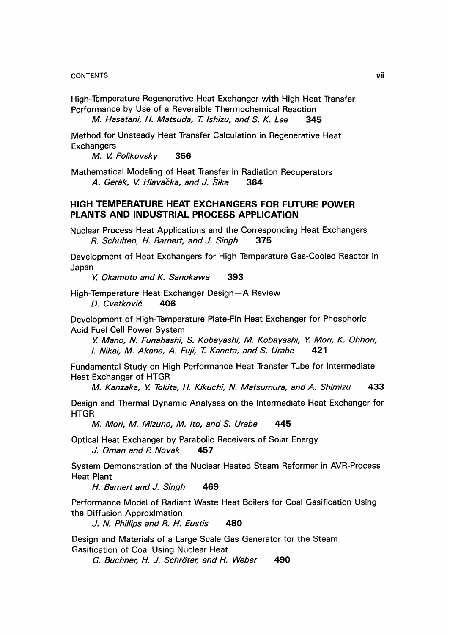#### **CONTENTS**

High-Temperature Regenerative Heat Exchanger with High Heat Transfer Performance by Use of a Reversible Thermochemical Reaction M. Hasatani, H. Matsuda, T. Ishizu, and S. K. Lee 345

Method for Unsteady Heat Transfer Calculation in Regenerative Heat **Exchangers** 

M. V. Polikovsky 356

Mathematical Modeling of Heat Transfer in Radiation Recuperators A. Gerák, V. Hlavačka, and J. Šika 364

# HIGH TEMPERATURE HEAT EXCHANGERS FOR FUTURE POWER PLANTS AND INDUSTRIAL PROCESS APPLICATION

Nuclear Process Heat Applications and the Corresponding Heat Exchangers<br>R. Schulten, H. Barnert, and J. Singh 375 R. Schulten, H. Barnert, and J. Singh

Development of Heat Exchangers for High Temperature Gas-Cooled Reactor in Japan

Y. Okamoto and K. Sanokawa 393

High-Temperature Heat Exchanger Design-A Review<br>D. Cyetković **406** D. Cvetković

Development of High-Temperature Plate-Fin Heat Exchanger for Phosphoric Acid Fuel Cell Power System

Y. Mano, N. Funahashi, S. Kobayashi, M. Kobayashi, Y. Mori, K. Ohhori, I. Nikai, M. Akane, A. Fuji, T. Kaneta, and S. Urabe 421

Fundamental Study on High Performance Heat Transfer Tube for Intermediate Heat Exchanger of HTGR

M. Kanzaka, Y. Tokita, H. Kikuchi, N. Matsumura, and A. Shimizu 433

Design and Thermal Dynamic Analyses on the Intermediate Heat Exchanger for **HTGR** 

M. Mori, M. Mizuno, M. Ito, and S. Urabe 445

Optical Heat Exchanger by Parabolic Receivers of Solar Energy J. Oman and P. Novak 457

System Demonstration of the Nuclear Heated Steam Reformer in AVR-Process Heat Plant

H. Barnert and J. Singh 469

Performance Model of Radiant Waste Heat Boilers for Coal Gasification Using the Diffusion Approximation

J. N. Phillips and R. H. Eustis 480

Design and Materials of a Large Scale Gas Generator for the Steam Gasification of Coal Using Nuclear Heat

G. Buchner, H. J. Schröter, and H. Weber 490